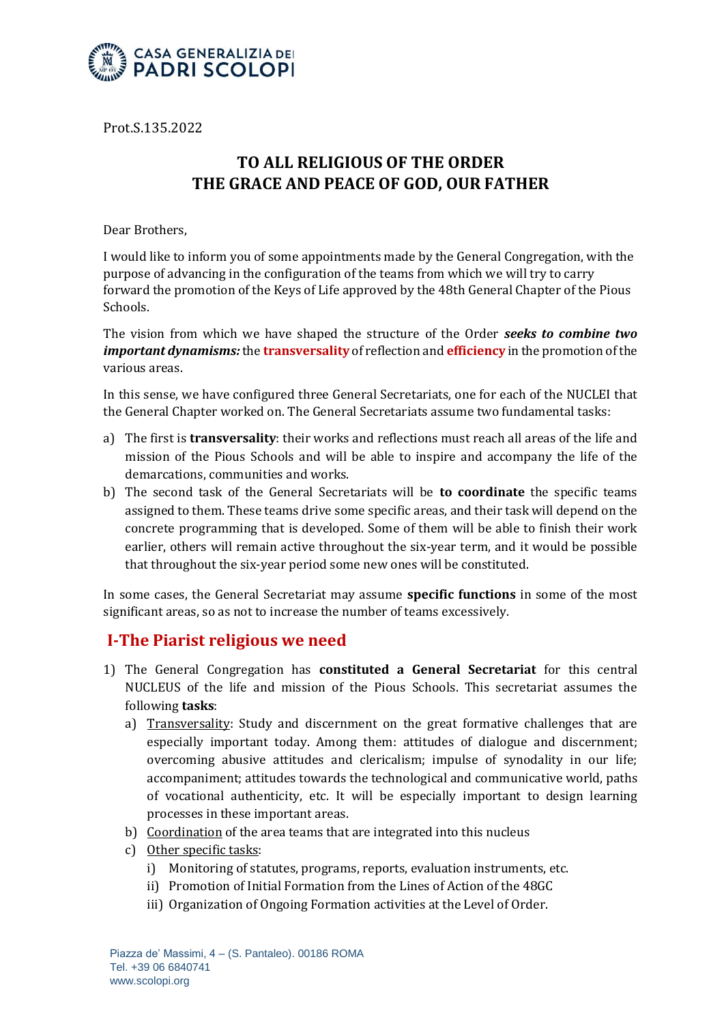

Prot.S.135.2022

# **TO ALL RELIGIOUS OF THE ORDER THE GRACE AND PEACE OF GOD, OUR FATHER**

Dear Brothers,

I would like to inform you of some appointments made by the General Congregation, with the purpose of advancing in the configuration of the teams from which we will try to carry forward the promotion of the Keys of Life approved by the 48th General Chapter of the Pious Schools.

The vision from which we have shaped the structure of the Order *seeks to combine two important dynamisms:* the **transversality** of reflection and **efficiency** in the promotion of the various areas.

In this sense, we have configured three General Secretariats, one for each of the NUCLEI that the General Chapter worked on. The General Secretariats assume two fundamental tasks:

- a) The first is **transversality**: their works and reflections must reach all areas of the life and mission of the Pious Schools and will be able to inspire and accompany the life of the demarcations, communities and works.
- b) The second task of the General Secretariats will be **to coordinate** the specific teams assigned to them. These teams drive some specific areas, and their task will depend on the concrete programming that is developed. Some of them will be able to finish their work earlier, others will remain active throughout the six-year term, and it would be possible that throughout the six-year period some new ones will be constituted.

In some cases, the General Secretariat may assume **specific functions** in some of the most significant areas, so as not to increase the number of teams excessively.

### **I-The Piarist religious we need**

- 1) The General Congregation has **constituted a General Secretariat** for this central NUCLEUS of the life and mission of the Pious Schools. This secretariat assumes the following **tasks**:
	- a) Transversality: Study and discernment on the great formative challenges that are especially important today. Among them: attitudes of dialogue and discernment; overcoming abusive attitudes and clericalism; impulse of synodality in our life; accompaniment; attitudes towards the technological and communicative world, paths of vocational authenticity, etc. It will be especially important to design learning processes in these important areas.
	- b) Coordination of the area teams that are integrated into this nucleus
	- c) Other specific tasks:
		- i) Monitoring of statutes, programs, reports, evaluation instruments, etc.
		- ii) Promotion of Initial Formation from the Lines of Action of the 48GC
		- iii) Organization of Ongoing Formation activities at the Level of Order.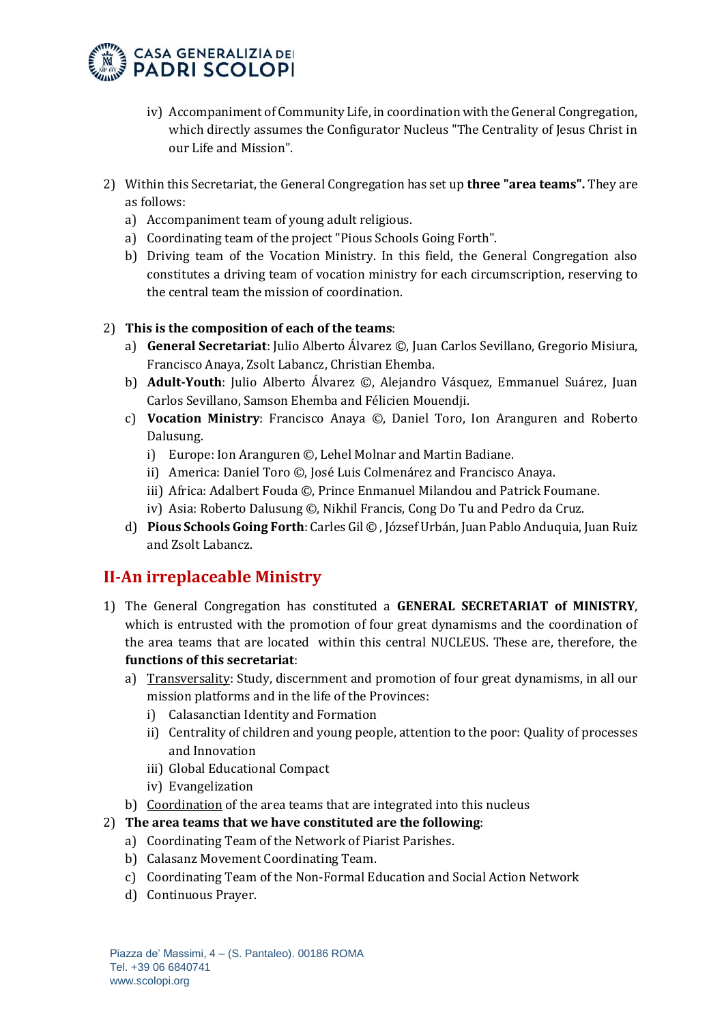

- iv) Accompaniment of Community Life, in coordination with the General Congregation, which directly assumes the Configurator Nucleus "The Centrality of Jesus Christ in our Life and Mission".
- 2) Within this Secretariat, the General Congregation has set up **three "area teams".** They are as follows:
	- a) Accompaniment team of young adult religious.
	- a) Coordinating team of the project "Pious Schools Going Forth".
	- b) Driving team of the Vocation Ministry. In this field, the General Congregation also constitutes a driving team of vocation ministry for each circumscription, reserving to the central team the mission of coordination.

#### 2) **This is the composition of each of the teams**:

- a) **General Secretariat**: Julio Alberto Álvarez ©, Juan Carlos Sevillano, Gregorio Misiura, Francisco Anaya, Zsolt Labancz, Christian Ehemba.
- b) **Adult-Youth**: Julio Alberto Álvarez ©, Alejandro Vásquez, Emmanuel Suárez, Juan Carlos Sevillano, Samson Ehemba and Félicien Mouendji.
- c) **Vocation Ministry**: Francisco Anaya ©, Daniel Toro, Ion Aranguren and Roberto Dalusung.
	- i) Europe: Ion Aranguren ©, Lehel Molnar and Martin Badiane.
	- ii) America: Daniel Toro ©, José Luis Colmenárez and Francisco Anaya.
	- iii) Africa: Adalbert Fouda ©, Prince Enmanuel Milandou and Patrick Foumane.
	- iv) Asia: Roberto Dalusung ©, Nikhil Francis, Cong Do Tu and Pedro da Cruz.
- d) **Pious Schools Going Forth**: Carles Gil © , József Urbán, Juan Pablo Anduquia, Juan Ruiz and Zsolt Labancz.

### **II-An irreplaceable Ministry**

- 1) The General Congregation has constituted a **GENERAL SECRETARIAT of MINISTRY**, which is entrusted with the promotion of four great dynamisms and the coordination of the area teams that are located within this central NUCLEUS. These are, therefore, the **functions of this secretariat**:
	- a) Transversality: Study, discernment and promotion of four great dynamisms, in all our mission platforms and in the life of the Provinces:
		- i) Calasanctian Identity and Formation
		- ii) Centrality of children and young people, attention to the poor: Quality of processes and Innovation
		- iii) Global Educational Compact
		- iv) Evangelization
	- b) Coordination of the area teams that are integrated into this nucleus

#### 2) **The area teams that we have constituted are the following**:

- a) Coordinating Team of the Network of Piarist Parishes.
- b) Calasanz Movement Coordinating Team.
- c) Coordinating Team of the Non-Formal Education and Social Action Network
- d) Continuous Prayer.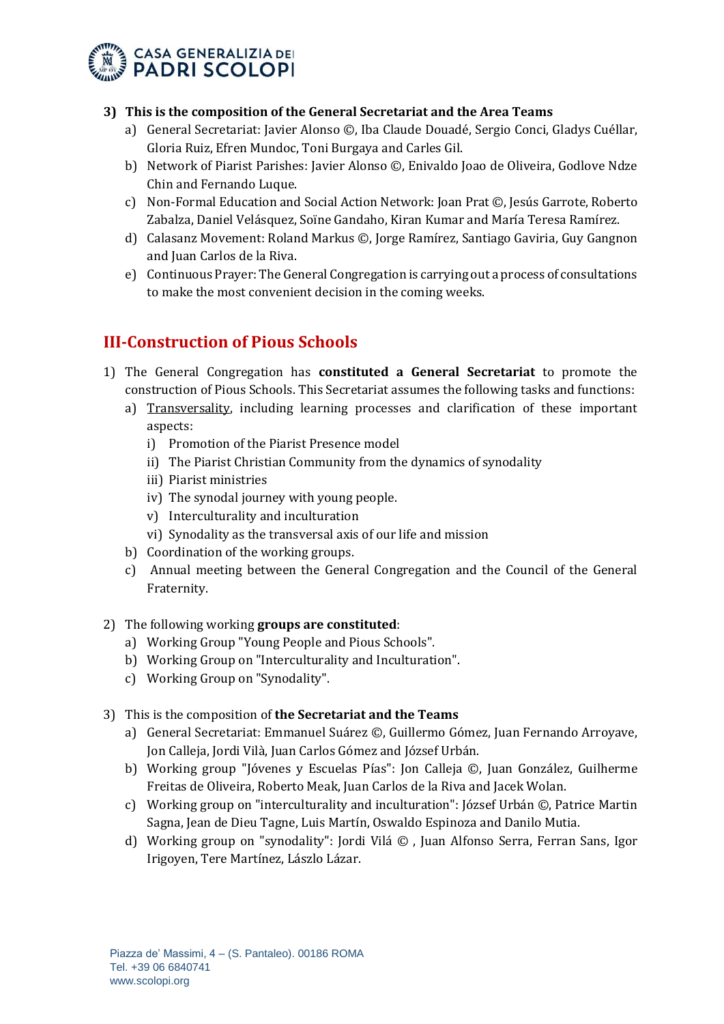

#### **3) This is the composition of the General Secretariat and the Area Teams**

- a) General Secretariat: Javier Alonso ©, Iba Claude Douadé, Sergio Conci, Gladys Cuéllar, Gloria Ruiz, Efren Mundoc, Toni Burgaya and Carles Gil.
- b) Network of Piarist Parishes: Javier Alonso ©, Enivaldo Joao de Oliveira, Godlove Ndze Chin and Fernando Luque.
- c) Non-Formal Education and Social Action Network: Joan Prat ©, Jesús Garrote, Roberto Zabalza, Daniel Velásquez, Soïne Gandaho, Kiran Kumar and María Teresa Ramírez.
- d) Calasanz Movement: Roland Markus ©, Jorge Ramírez, Santiago Gaviria, Guy Gangnon and Juan Carlos de la Riva.
- e) Continuous Prayer: The General Congregation is carrying out a process of consultations to make the most convenient decision in the coming weeks.

# **III-Construction of Pious Schools**

- 1) The General Congregation has **constituted a General Secretariat** to promote the construction of Pious Schools. This Secretariat assumes the following tasks and functions:
	- a) Transversality, including learning processes and clarification of these important aspects:
		- i) Promotion of the Piarist Presence model
		- ii) The Piarist Christian Community from the dynamics of synodality
		- iii) Piarist ministries
		- iv) The synodal journey with young people.
		- v) Interculturality and inculturation
		- vi) Synodality as the transversal axis of our life and mission
	- b) Coordination of the working groups.
	- c) Annual meeting between the General Congregation and the Council of the General Fraternity.
- 2) The following working **groups are constituted**:
	- a) Working Group "Young People and Pious Schools".
	- b) Working Group on "Interculturality and Inculturation".
	- c) Working Group on "Synodality".
- 3) This is the composition of **the Secretariat and the Teams**
	- a) General Secretariat: Emmanuel Suárez ©, Guillermo Gómez, Juan Fernando Arroyave, Jon Calleja, Jordi Vilà, Juan Carlos Gómez and József Urbán.
	- b) Working group "Jóvenes y Escuelas Pías": Jon Calleja ©, Juan González, Guilherme Freitas de Oliveira, Roberto Meak, Juan Carlos de la Riva and Jacek Wolan.
	- c) Working group on "interculturality and inculturation": József Urbán ©, Patrice Martin Sagna, Jean de Dieu Tagne, Luis Martín, Oswaldo Espinoza and Danilo Mutia.
	- d) Working group on "synodality": Jordi Vilá © , Juan Alfonso Serra, Ferran Sans, Igor Irigoyen, Tere Martínez, Lászlo Lázar.